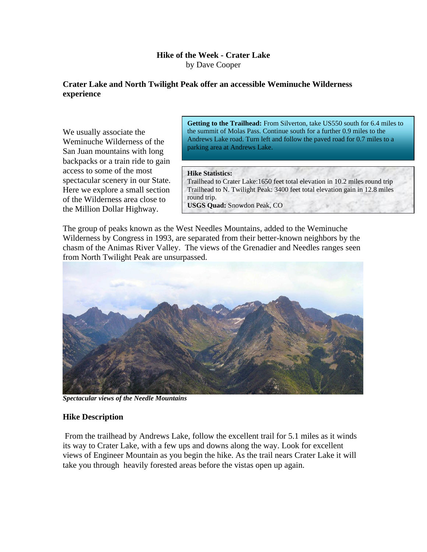## **Hike of the Week - Crater Lake** by Dave Cooper

## **Crater Lake and North Twilight Peak offer an accessible Weminuche Wilderness experience**

We usually associate the Weminuche Wilderness of the San Juan mountains with long backpacks or a train ride to gain access to some of the most spectacular scenery in our State. Here we explore a small section of the Wilderness area close to the Million Dollar Highway.

**Getting to the Trailhead:** From Silverton, take US550 south for 6.4 miles to the summit of Molas Pass. Continue south for a further 0.9 miles to the Andrews Lake road. Turn left and follow the paved road for 0.7 miles to a parking area at Andrews Lake.

## **Hike Statistics:**

Trailhead to Crater Lake:1650 feet total elevation in 10.2 miles round trip Trailhead to N. Twilight Peak: 3400 feet total elevation gain in 12.8 miles round trip.

**USGS Quad:** Snowdon Peak, CO

The group of peaks known as the West Needles Mountains, added to the Weminuche Wilderness by Congress in 1993, are separated from their better-known neighbors by the chasm of the Animas River Valley. The views of the Grenadier and Needles ranges seen from North Twilight Peak are unsurpassed.



*Spectacular views of the Needle Mountains*

## **Hike Description**

From the trailhead by Andrews Lake, follow the excellent trail for 5.1 miles as it winds its way to Crater Lake, with a few ups and downs along the way. Look for excellent views of Engineer Mountain as you begin the hike. As the trail nears Crater Lake it will take you through heavily forested areas before the vistas open up again.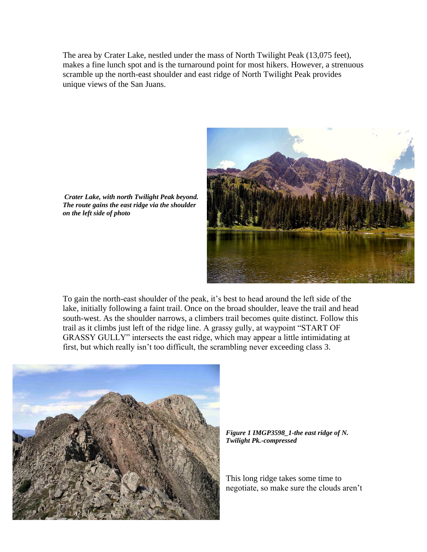The area by Crater Lake, nestled under the mass of North Twilight Peak (13,075 feet), makes a fine lunch spot and is the turnaround point for most hikers. However, a strenuous scramble up the north-east shoulder and east ridge of North Twilight Peak provides unique views of the San Juans.



*Crater Lake, with north Twilight Peak beyond. The route gains the east ridge via the shoulder on the left side of photo*

To gain the north-east shoulder of the peak, it's best to head around the left side of the lake, initially following a faint trail. Once on the broad shoulder, leave the trail and head south-west. As the shoulder narrows, a climbers trail becomes quite distinct. Follow this trail as it climbs just left of the ridge line. A grassy gully, at waypoint "START OF GRASSY GULLY" intersects the east ridge, which may appear a little intimidating at first, but which really isn't too difficult, the scrambling never exceeding class 3.



*Figure 1 IMGP3598\_1-the east ridge of N. Twilight Pk.-compressed*

This long ridge takes some time to negotiate, so make sure the clouds aren't